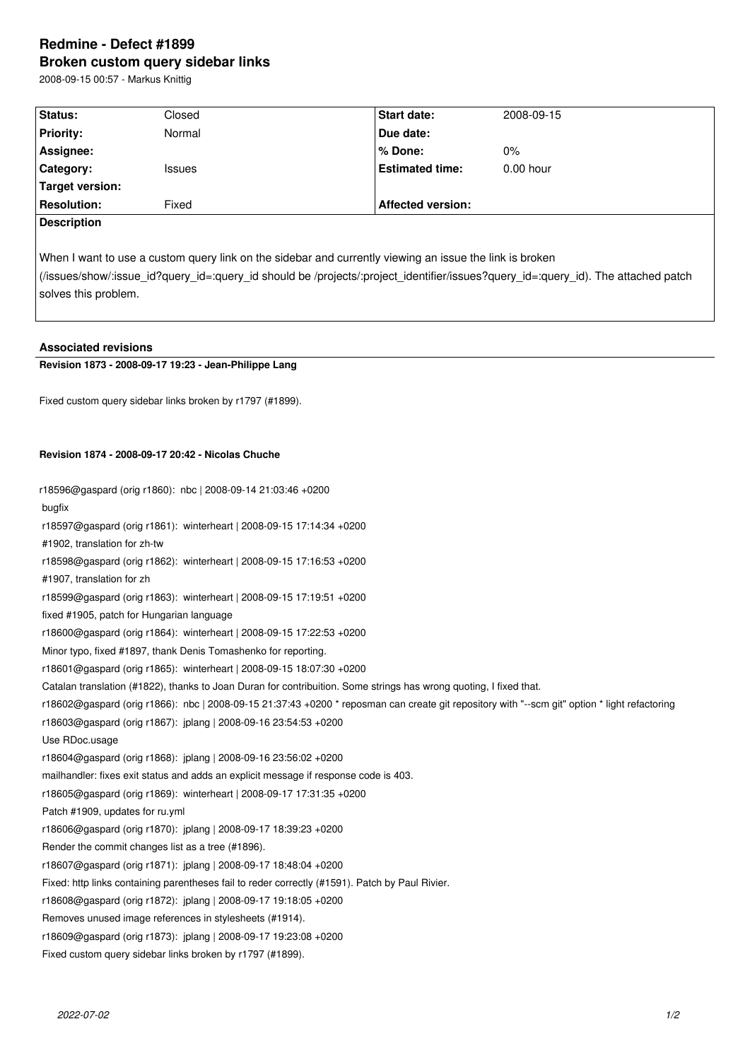## **Redmine - Defect #1899 Broken custom query sidebar links**

2008-09-15 00:57 - Markus Knittig

| Status:                                                                                                                                                                                                                                                              | Closed        | <b>Start date:</b>       | 2008-09-15  |  |
|----------------------------------------------------------------------------------------------------------------------------------------------------------------------------------------------------------------------------------------------------------------------|---------------|--------------------------|-------------|--|
| <b>Priority:</b>                                                                                                                                                                                                                                                     | Normal        | Due date:                |             |  |
| Assignee:                                                                                                                                                                                                                                                            |               | % Done:                  | $0\%$       |  |
| Category:                                                                                                                                                                                                                                                            | <b>Issues</b> | <b>Estimated time:</b>   | $0.00$ hour |  |
| <b>Target version:</b>                                                                                                                                                                                                                                               |               |                          |             |  |
| <b>Resolution:</b>                                                                                                                                                                                                                                                   | Fixed         | <b>Affected version:</b> |             |  |
| <b>Description</b>                                                                                                                                                                                                                                                   |               |                          |             |  |
| When I want to use a custom query link on the sidebar and currently viewing an issue the link is broken<br>(/issues/show/:issue_id?query_id=:query_id should be /projects/:project_identifier/issues?query_id=:query_id). The attached patch<br>solves this problem. |               |                          |             |  |

| <b>Associated revisions</b> |  |
|-----------------------------|--|
|                             |  |

## **Revision 1873 - 2008-09-17 19:23 - Jean-Philippe Lang**

Fixed custom query sidebar links broken by r1797 (#1899).

## **Revision 1874 - 2008-09-17 20:42 - Nicolas Chuche**

| r18596@gaspard (orig r1860): nbc   2008-09-14 21:03:46 +0200                                                                                  |  |  |  |
|-----------------------------------------------------------------------------------------------------------------------------------------------|--|--|--|
| bugfix                                                                                                                                        |  |  |  |
| r18597@gaspard (orig r1861): winterheart   2008-09-15 17:14:34 +0200                                                                          |  |  |  |
| #1902, translation for zh-tw                                                                                                                  |  |  |  |
| r18598@gaspard (orig r1862): winterheart   2008-09-15 17:16:53 +0200                                                                          |  |  |  |
| #1907, translation for zh                                                                                                                     |  |  |  |
| r18599@gaspard (orig r1863): winterheart   2008-09-15 17:19:51 +0200                                                                          |  |  |  |
| fixed #1905, patch for Hungarian language                                                                                                     |  |  |  |
| r18600@gaspard (orig r1864): winterheart   2008-09-15 17:22:53 +0200                                                                          |  |  |  |
| Minor typo, fixed #1897, thank Denis Tomashenko for reporting.                                                                                |  |  |  |
| r18601@gaspard (orig r1865): winterheart   2008-09-15 18:07:30 +0200                                                                          |  |  |  |
| Catalan translation (#1822), thanks to Joan Duran for contribuition. Some strings has wrong quoting, I fixed that.                            |  |  |  |
| r18602@gaspard (orig r1866): nbc   2008-09-15 21:37:43 +0200 * reposman can create git repository with "--scm git" option * light refactoring |  |  |  |
| r18603@gaspard (orig r1867): jplang   2008-09-16 23:54:53 +0200                                                                               |  |  |  |
| Use RDoc.usage                                                                                                                                |  |  |  |
| r18604@gaspard (orig r1868): jplang   2008-09-16 23:56:02 +0200                                                                               |  |  |  |
| mailhandler: fixes exit status and adds an explicit message if response code is 403.                                                          |  |  |  |
| r18605@gaspard (orig r1869): winterheart   2008-09-17 17:31:35 +0200                                                                          |  |  |  |
| Patch #1909, updates for ru.yml                                                                                                               |  |  |  |
| r18606@gaspard (orig r1870): jplang   2008-09-17 18:39:23 +0200                                                                               |  |  |  |
| Render the commit changes list as a tree (#1896).                                                                                             |  |  |  |
| r18607@gaspard (orig r1871): jplang   2008-09-17 18:48:04 +0200                                                                               |  |  |  |
| Fixed: http links containing parentheses fail to reder correctly (#1591). Patch by Paul Rivier.                                               |  |  |  |
| r18608@gaspard (orig r1872): jplang   2008-09-17 19:18:05 +0200                                                                               |  |  |  |
| Removes unused image references in stylesheets (#1914).                                                                                       |  |  |  |
| r18609@gaspard (orig r1873): jplang   2008-09-17 19:23:08 +0200                                                                               |  |  |  |
| Fixed custom query sidebar links broken by r1797 (#1899).                                                                                     |  |  |  |